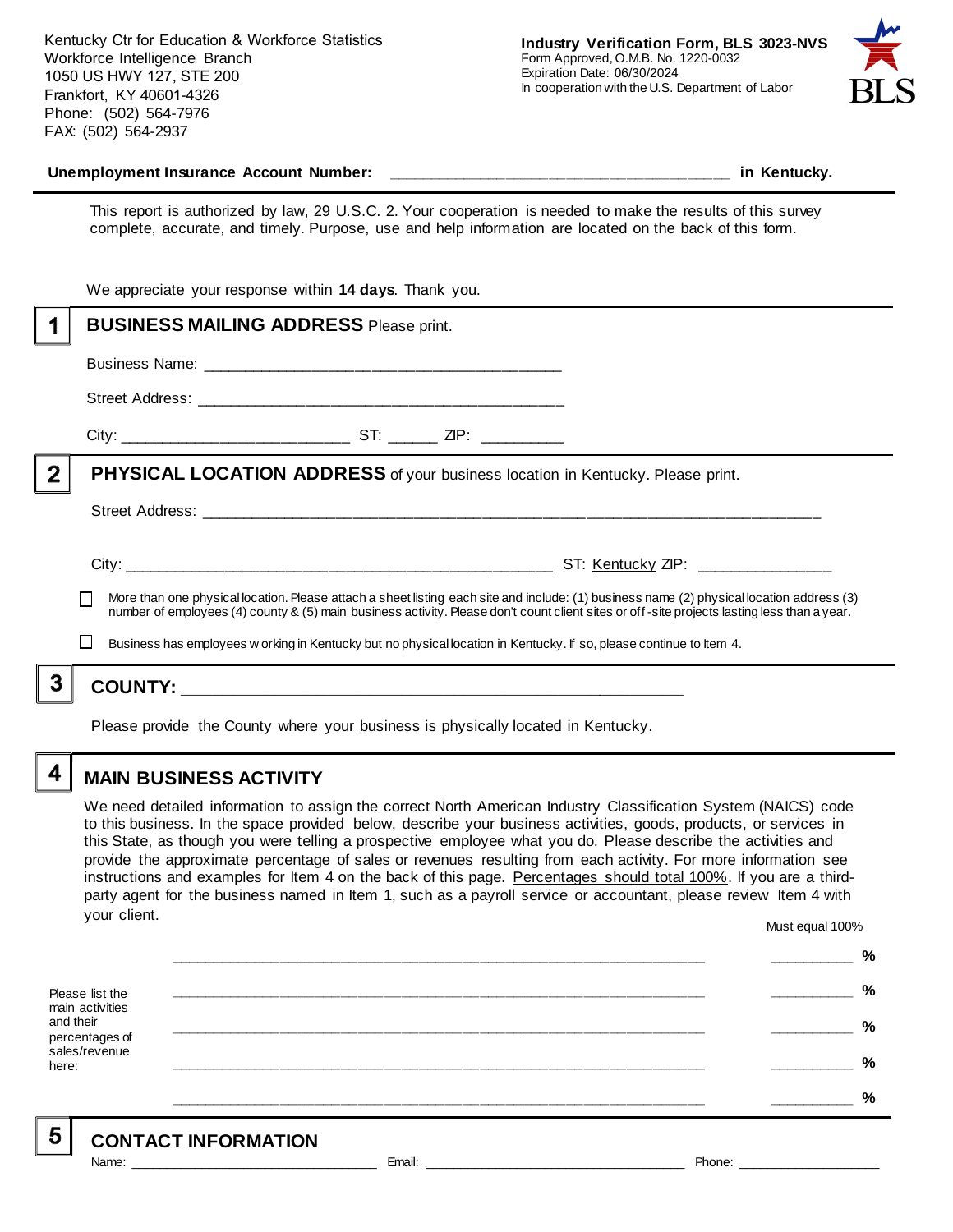Kentucky Ctr for Education & Workforce Statistics Workforce Intelligence Branch 1050 US HWY 127, STE 200 Frankfort, KY 40601-4326 Phone: (502) 564-7976 FAX: (502) 564-2937



#### **Unemployment Insurance Account Number: \_\_\_\_\_\_\_\_\_\_\_\_\_\_\_\_\_\_\_\_\_\_\_\_\_\_\_\_\_\_\_\_\_\_\_\_\_\_\_\_ in Kentucky.**

This report is authorized by law, 29 U.S.C. 2. Your cooperation is needed to make the results of this survey complete, accurate, and timely. Purpose, use and help information are located on the back of this form.

|                                                                                                                                           | number of employees (4) county & (5) main business activity. Please don't count client sites or off-site projects lasting less than a year.<br>Business has employees w orking in Kentucky but no physical location in Kentucky. If so, please continue to Item 4. |  |
|-------------------------------------------------------------------------------------------------------------------------------------------|--------------------------------------------------------------------------------------------------------------------------------------------------------------------------------------------------------------------------------------------------------------------|--|
| More than one physical location. Please attach a sheet listing each site and include: (1) business name (2) physical location address (3) |                                                                                                                                                                                                                                                                    |  |
|                                                                                                                                           |                                                                                                                                                                                                                                                                    |  |
|                                                                                                                                           |                                                                                                                                                                                                                                                                    |  |
| $\overline{2}$                                                                                                                            | <b>PHYSICAL LOCATION ADDRESS</b> of your business location in Kentucky. Please print.                                                                                                                                                                              |  |
|                                                                                                                                           |                                                                                                                                                                                                                                                                    |  |
|                                                                                                                                           |                                                                                                                                                                                                                                                                    |  |
|                                                                                                                                           |                                                                                                                                                                                                                                                                    |  |
|                                                                                                                                           | <b>BUSINESS MAILING ADDRESS Please print.</b>                                                                                                                                                                                                                      |  |
|                                                                                                                                           | We appreciate your response within 14 days. Thank you.                                                                                                                                                                                                             |  |

Please provide the County where your business is physically located in Kentucky.

4

# **MAIN BUSINESS ACTIVITY**

We need detailed information to assign the correct North American Industry Classification System (NAICS) code to this business. In the space provided below, describe your business activities, goods, products, or services in this State, as though you were telling a prospective employee what you do. Please describe the activities and provide the approximate percentage of sales or revenues resulting from each activity. For more information see instructions and examples for Item 4 on the back of this page. Percentages should total 100%. If you are a thirdparty agent for the business named in Item 1, such as a payroll service or accountant, please review Item 4 with your client. Must equal 100%

Please list the main activities and their percentages of sales/revenue here: **\_\_\_\_\_\_\_\_\_\_\_\_\_\_\_\_\_\_\_\_\_\_\_\_\_\_\_\_\_\_\_\_\_\_\_\_\_\_\_\_\_\_\_\_\_\_\_\_\_\_\_\_\_\_\_\_\_\_\_\_\_\_ \_\_\_\_\_\_\_\_\_\_ % \_\_\_\_\_\_\_\_\_\_\_\_\_\_\_\_\_\_\_\_\_\_\_\_\_\_\_\_\_\_\_\_\_\_\_\_\_\_\_\_\_\_\_\_\_\_\_\_\_\_\_\_\_\_\_\_\_\_\_\_\_\_ \_\_\_\_\_\_\_\_\_\_ % \_\_\_\_\_\_\_\_\_\_\_\_\_\_\_\_\_\_\_\_\_\_\_\_\_\_\_\_\_\_\_\_\_\_\_\_\_\_\_\_\_\_\_\_\_\_\_\_\_\_\_\_\_\_\_\_\_\_\_\_\_\_ \_\_\_\_\_\_\_\_\_\_ % \_\_\_\_\_\_\_\_\_\_\_\_\_\_\_\_\_\_\_\_\_\_\_\_\_\_\_\_\_\_\_\_\_\_\_\_\_\_\_\_\_\_\_\_\_\_\_\_\_\_\_\_\_\_\_\_\_\_\_\_\_\_ \_\_\_\_\_\_\_\_\_\_ % \_\_\_\_\_\_\_\_\_\_\_\_\_\_\_\_\_\_\_\_\_\_\_\_\_\_\_\_\_\_\_\_\_\_\_\_\_\_\_\_\_\_\_\_\_\_\_\_\_\_\_\_\_\_\_\_\_\_\_\_\_\_ \_\_\_\_\_\_\_\_\_\_ %**

5